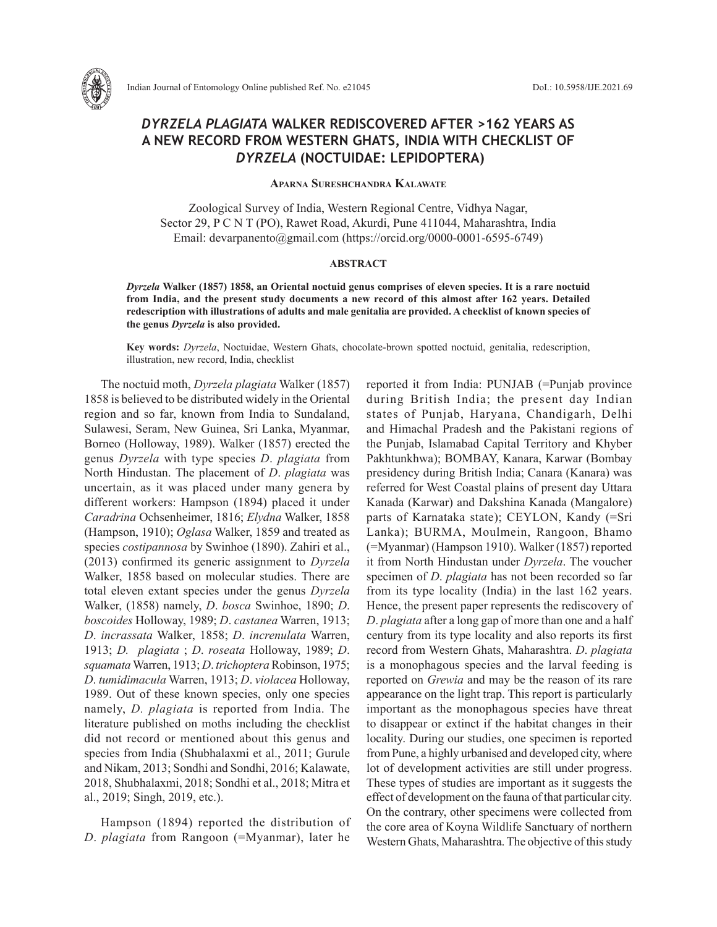

# *DYRZELA PLAGIATA* **WALKER REDISCOVERED AFTER >162 YEARS AS A NEW RECORD FROM WESTERN GHATS, INDIA WITH CHECKLIST OF** *DYRZELA* **(NOCTUIDAE: LEPIDOPTERA)**

**Aparna Sureshchandra Kalawate**

Zoological Survey of India, Western Regional Centre, Vidhya Nagar, Sector 29, P C N T (PO), Rawet Road, Akurdi, Pune 411044, Maharashtra, India Email: devarpanento@gmail.com (https://orcid.org/0000-0001-6595-6749)

#### **ABSTRACT**

*Dyrzela* **Walker (1857) 1858, an Oriental noctuid genus comprises of eleven species. It is a rare noctuid from India, and the present study documents a new record of this almost after 162 years. Detailed redescription with illustrations of adults and male genitalia are provided. A checklist of known species of the genus** *Dyrzela* **is also provided.** 

**Key words:** *Dyrzela*, Noctuidae, Western Ghats, chocolate-brown spotted noctuid, genitalia, redescription, illustration, new record, India, checklist

The noctuid moth, *Dyrzela plagiata* Walker (1857) 1858 is believed to be distributed widely in the Oriental region and so far, known from India to Sundaland, Sulawesi, Seram, New Guinea, Sri Lanka, Myanmar, Borneo (Holloway, 1989). Walker (1857) erected the genus *Dyrzela* with type species *D*. *plagiata* from North Hindustan. The placement of *D*. *plagiata* was uncertain, as it was placed under many genera by different workers: Hampson (1894) placed it under *Caradrina* Ochsenheimer, 1816; *Elydna* Walker, 1858 (Hampson, 1910); *Oglasa* Walker, 1859 and treated as species *costipannosa* by Swinhoe (1890). Zahiri et al., (2013) confirmed its generic assignment to *Dyrzela* Walker, 1858 based on molecular studies. There are total eleven extant species under the genus *Dyrzela* Walker, (1858) namely, *D*. *bosca* Swinhoe, 1890; *D*. *boscoides* Holloway, 1989; *D*. *castanea* Warren, 1913; *D*. *incrassata* Walker, 1858; *D*. *increnulata* Warren, 1913; *D. plagiata* ; *D*. *roseata* Holloway, 1989; *D*. *squamata*Warren, 1913; *D*. *trichoptera*Robinson, 1975; *D*. *tumidimacula* Warren, 1913; *D*. *violacea* Holloway, 1989. Out of these known species, only one species namely, *D. plagiata* is reported from India. The literature published on moths including the checklist did not record or mentioned about this genus and species from India (Shubhalaxmi et al., 2011; Gurule and Nikam, 2013; Sondhi and Sondhi, 2016; Kalawate, 2018, Shubhalaxmi, 2018; Sondhi et al., 2018; Mitra et al., 2019; Singh, 2019, etc.).

Hampson (1894) reported the distribution of *D*. *plagiata* from Rangoon (=Myanmar), later he

reported it from India: PUNJAB (=Punjab province during British India; the present day Indian states of Punjab, Haryana, Chandigarh, Delhi and Himachal Pradesh and the Pakistani regions of the Punjab, Islamabad Capital Territory and Khyber Pakhtunkhwa); BOMBAY, Kanara, Karwar (Bombay presidency during British India; Canara (Kanara) was referred for West Coastal plains of present day Uttara Kanada (Karwar) and Dakshina Kanada (Mangalore) parts of Karnataka state); CEYLON, Kandy (=Sri Lanka); BURMA, Moulmein, Rangoon, Bhamo (=Myanmar) (Hampson 1910). Walker (1857) reported it from North Hindustan under *Dyrzela*. The voucher specimen of *D*. *plagiata* has not been recorded so far from its type locality (India) in the last 162 years. Hence, the present paper represents the rediscovery of *D*. *plagiata* after a long gap of more than one and a half century from its type locality and also reports its first record from Western Ghats, Maharashtra. *D*. *plagiata* is a monophagous species and the larval feeding is reported on *Grewia* and may be the reason of its rare appearance on the light trap. This report is particularly important as the monophagous species have threat to disappear or extinct if the habitat changes in their locality. During our studies, one specimen is reported from Pune, a highly urbanised and developed city, where lot of development activities are still under progress. These types of studies are important as it suggests the effect of development on the fauna of that particular city. On the contrary, other specimens were collected from the core area of Koyna Wildlife Sanctuary of northern Western Ghats, Maharashtra. The objective of this study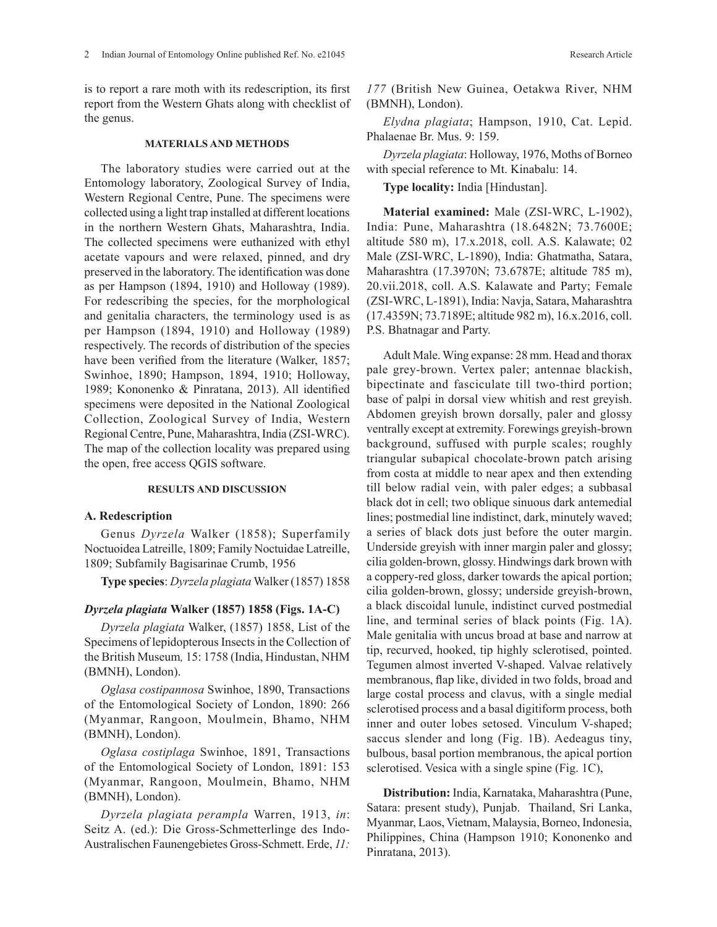is to report a rare moth with its redescription, its first report from the Western Ghats along with checklist of the genus.

#### **MATERIALS AND METHODS**

The laboratory studies were carried out at the Entomology laboratory, Zoological Survey of India, Western Regional Centre, Pune. The specimens were collected using a light trap installed at different locations in the northern Western Ghats, Maharashtra, India. The collected specimens were euthanized with ethyl acetate vapours and were relaxed, pinned, and dry preserved in the laboratory. The identification was done as per Hampson (1894, 1910) and Holloway (1989). For redescribing the species, for the morphological and genitalia characters, the terminology used is as per Hampson (1894, 1910) and Holloway (1989) respectively. The records of distribution of the species have been verified from the literature (Walker, 1857; Swinhoe, 1890; Hampson, 1894, 1910; Holloway, 1989; Kononenko & Pinratana, 2013). All identified specimens were deposited in the National Zoological Collection, Zoological Survey of India, Western Regional Centre, Pune, Maharashtra, India (ZSI-WRC). The map of the collection locality was prepared using the open, free access QGIS software.

### **RESULTS AND DISCUSSION**

### **A. Redescription**

Genus *Dyrzela* Walker (1858); Superfamily Noctuoidea Latreille, 1809; Family Noctuidae Latreille, 1809; Subfamily Bagisarinae Crumb, 1956

**Type species**: *Dyrzela plagiata* Walker (1857) 1858

### *Dyrzela plagiata* **Walker (1857) 1858 (Figs. 1A-C)**

*Dyrzela plagiata* Walker, (1857) 1858, List of the Specimens of lepidopterous Insects in the Collection of the British Museum*,* 15: 1758 (India, Hindustan, NHM (BMNH), London).

*Oglasa costipannosa* Swinhoe, 1890, Transactions of the Entomological Society of London, 1890: 266 (Myanmar, Rangoon, Moulmein, Bhamo, NHM (BMNH), London).

*Oglasa costiplaga* Swinhoe, 1891, Transactions of the Entomological Society of London, 1891: 153 (Myanmar, Rangoon, Moulmein, Bhamo, NHM (BMNH), London).

*Dyrzela plagiata perampla* Warren, 1913, *in*: Seitz A. (ed.): Die Gross-Schmetterlinge des Indo-Australischen Faunengebietes Gross-Schmett. Erde, *11:* 

*Elydna plagiata*; Hampson, 1910, Cat. Lepid. Phalaenae Br. Mus. 9: 159.

*Dyrzela plagiata*: Holloway, 1976, Moths of Borneo with special reference to Mt. Kinabalu: 14.

**Type locality:** India [Hindustan].

**Material examined:** Male (ZSI-WRC, L-1902), India: Pune, Maharashtra (18.6482N; 73.7600E; altitude 580 m), 17.x.2018, coll. A.S. Kalawate; 02 Male (ZSI-WRC, L-1890), India: Ghatmatha, Satara, Maharashtra (17.3970N; 73.6787E; altitude 785 m), 20.vii.2018, coll. A.S. Kalawate and Party; Female (ZSI-WRC, L-1891), India: Navja, Satara, Maharashtra (17.4359N; 73.7189E; altitude 982 m), 16.x.2016, coll. P.S. Bhatnagar and Party.

Adult Male. Wing expanse: 28 mm. Head and thorax pale grey-brown. Vertex paler; antennae blackish, bipectinate and fasciculate till two-third portion; base of palpi in dorsal view whitish and rest greyish. Abdomen greyish brown dorsally, paler and glossy ventrally except at extremity. Forewings greyish-brown background, suffused with purple scales; roughly triangular subapical chocolate-brown patch arising from costa at middle to near apex and then extending till below radial vein, with paler edges; a subbasal black dot in cell; two oblique sinuous dark antemedial lines; postmedial line indistinct, dark, minutely waved; a series of black dots just before the outer margin. Underside greyish with inner margin paler and glossy; cilia golden-brown, glossy. Hindwings dark brown with a coppery-red gloss, darker towards the apical portion; cilia golden-brown, glossy; underside greyish-brown, a black discoidal lunule, indistinct curved postmedial line, and terminal series of black points (Fig. 1A). Male genitalia with uncus broad at base and narrow at tip, recurved, hooked, tip highly sclerotised, pointed. Tegumen almost inverted V-shaped. Valvae relatively membranous, flap like, divided in two folds, broad and large costal process and clavus, with a single medial sclerotised process and a basal digitiform process, both inner and outer lobes setosed. Vinculum V-shaped; saccus slender and long (Fig. 1B). Aedeagus tiny, bulbous, basal portion membranous, the apical portion sclerotised. Vesica with a single spine (Fig. 1C),

**Distribution:** India, Karnataka, Maharashtra (Pune, Satara: present study), Punjab. Thailand, Sri Lanka, Myanmar, Laos, Vietnam, Malaysia, Borneo, Indonesia, Philippines, China (Hampson 1910; Kononenko and Pinratana, 2013).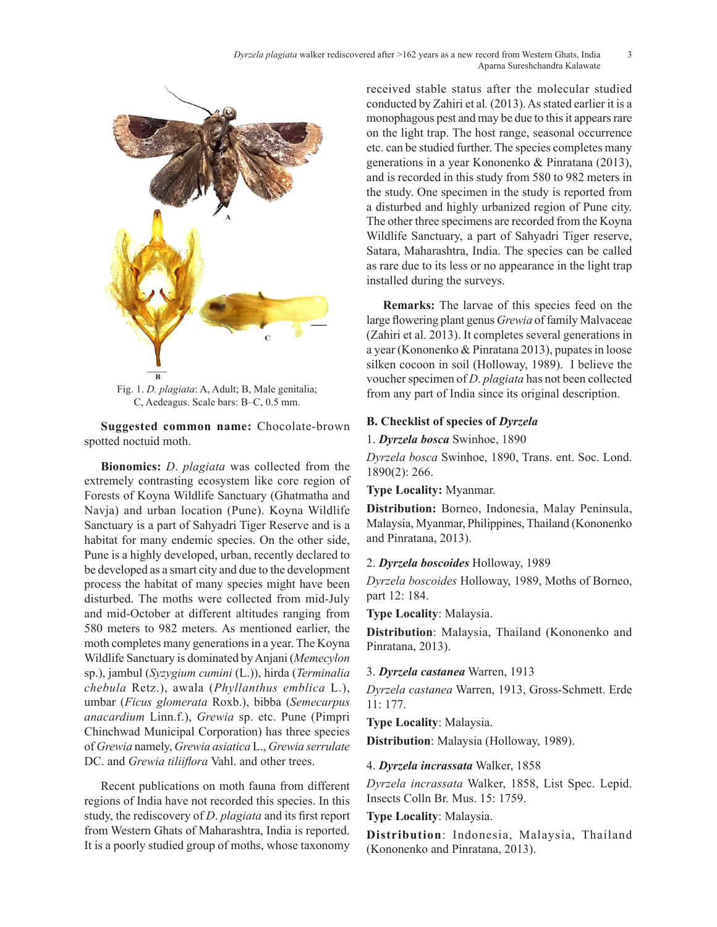

Fig. 1. *D. plagiata*: A, Adult; B, Male genitalia; C, Aedeagus. Scale bars: B–C, 0.5 mm.

**Suggested common name:** Chocolate-brown spotted noctuid moth.

**Bionomics:** *D*. *plagiata* was collected from the extremely contrasting ecosystem like core region of Forests of Koyna Wildlife Sanctuary (Ghatmatha and Navja) and urban location (Pune). Koyna Wildlife Sanctuary is a part of Sahyadri Tiger Reserve and is a habitat for many endemic species. On the other side, Pune is a highly developed, urban, recently declared to be developed as a smart city and due to the development process the habitat of many species might have been disturbed. The moths were collected from mid-July and mid-October at different altitudes ranging from 580 meters to 982 meters. As mentioned earlier, the moth completes many generations in a year. The Koyna Wildlife Sanctuary is dominated by Anjani (*Memecylon* sp.), jambul (*Syzygium cumini* (L.)), hirda (*Terminalia chebula* Retz.), awala (*Phyllanthus emblica* L.), umbar (*Ficus glomerata* Roxb.), bibba (*Semecarpus anacardium* Linn.f.), *Grewia* sp. etc. Pune (Pimpri Chinchwad Municipal Corporation) has three species of *Grewia* namely, *Grewia asiatica* L., *Grewia serrulate* DC. and *Grewia tiliiflora* Vahl. and other trees.

Recent publications on moth fauna from different regions of India have not recorded this species. In this study, the rediscovery of *D*. *plagiata* and its first report from Western Ghats of Maharashtra, India is reported. It is a poorly studied group of moths, whose taxonomy received stable status after the molecular studied conducted by Zahiri et al*.* (2013). As stated earlier it is a monophagous pest and may be due to this it appears rare on the light trap. The host range, seasonal occurrence etc. can be studied further. The species completes many generations in a year Kononenko & Pinratana (2013), and is recorded in this study from 580 to 982 meters in the study. One specimen in the study is reported from a disturbed and highly urbanized region of Pune city. The other three specimens are recorded from the Koyna Wildlife Sanctuary, a part of Sahyadri Tiger reserve, Satara, Maharashtra, India. The species can be called as rare due to its less or no appearance in the light trap installed during the surveys.

**Remarks:** The larvae of this species feed on the large flowering plant genus *Grewia* of family Malvaceae (Zahiri et al. 2013). It completes several generations in a year (Kononenko & Pinratana 2013), pupates in loose silken cocoon in soil (Holloway, 1989). I believe the voucher specimen of *D*. *plagiata* has not been collected from any part of India since its original description.

# **B. Checklist of species of** *Dyrzela*

1. *Dyrzela bosca* Swinhoe, 1890

*Dyrzela bosca* Swinhoe, 1890, Trans. ent. Soc. Lond. 1890(2): 266.

**Type Locality:** Myanmar.

**Distribution:** Borneo, Indonesia, Malay Peninsula, Malaysia, Myanmar, Philippines, Thailand (Kononenko and Pinratana, 2013).

# 2. *Dyrzela boscoides* Holloway, 1989

*Dyrzela boscoides* Holloway, 1989, Moths of Borneo, part 12: 184.

**Type Locality**: Malaysia.

**Distribution**: Malaysia, Thailand (Kononenko and Pinratana, 2013).

3. *Dyrzela castanea* Warren, 1913

*Dyrzela castanea* Warren, 1913, Gross-Schmett. Erde 11: 177.

**Type Locality**: Malaysia.

**Distribution**: Malaysia (Holloway, 1989).

# 4. *Dyrzela incrassata* Walker, 1858

*Dyrzela incrassata* Walker, 1858, List Spec. Lepid. Insects Colln Br. Mus. 15: 1759.

# Type Locality: Malaysia.

**Distribution**: Indonesia, Malaysia, Thailand (Kononenko and Pinratana, 2013).